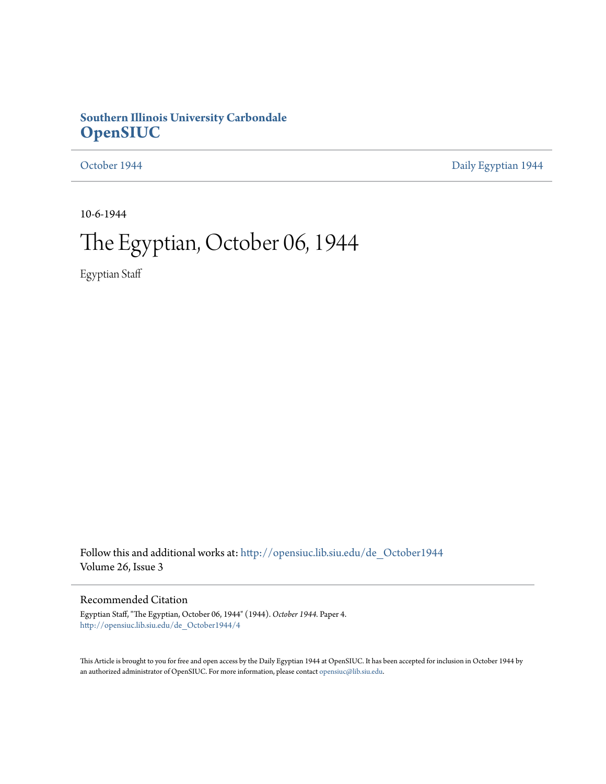# **Southern Illinois University Carbondale [OpenSIUC](http://opensiuc.lib.siu.edu?utm_source=opensiuc.lib.siu.edu%2Fde_October1944%2F4&utm_medium=PDF&utm_campaign=PDFCoverPages)**

[October 1944](http://opensiuc.lib.siu.edu/de_October1944?utm_source=opensiuc.lib.siu.edu%2Fde_October1944%2F4&utm_medium=PDF&utm_campaign=PDFCoverPages) **[Daily Egyptian 1944](http://opensiuc.lib.siu.edu/de_1944?utm_source=opensiuc.lib.siu.edu%2Fde_October1944%2F4&utm_medium=PDF&utm_campaign=PDFCoverPages)** 

10-6-1944

# The Egyptian, October 06, 1944

Egyptian Staff

Follow this and additional works at: [http://opensiuc.lib.siu.edu/de\\_October1944](http://opensiuc.lib.siu.edu/de_October1944?utm_source=opensiuc.lib.siu.edu%2Fde_October1944%2F4&utm_medium=PDF&utm_campaign=PDFCoverPages) Volume 26, Issue 3

## Recommended Citation

Egyptian Staff, "The Egyptian, October 06, 1944" (1944). *October 1944.* Paper 4. [http://opensiuc.lib.siu.edu/de\\_October1944/4](http://opensiuc.lib.siu.edu/de_October1944/4?utm_source=opensiuc.lib.siu.edu%2Fde_October1944%2F4&utm_medium=PDF&utm_campaign=PDFCoverPages)

This Article is brought to you for free and open access by the Daily Egyptian 1944 at OpenSIUC. It has been accepted for inclusion in October 1944 by an authorized administrator of OpenSIUC. For more information, please contact [opensiuc@lib.siu.edu.](mailto:opensiuc@lib.siu.edu)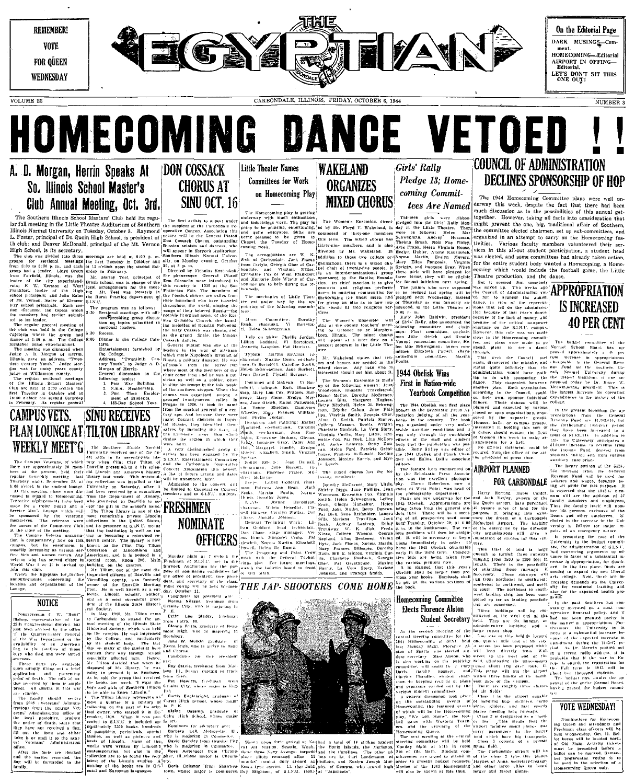

# A. D. Morgan, Herrin Speaks At So. Illinois School Master's Club Annual Meeting, Oct. 3rd.

The Southern Illinois School Masters' Club held its regu- $\frac{1}{2}$  are find the method of Shelter Auditorium of Southern the auspitulity of Shelter and University on Tuesday, October 3. Raymond 'operative L. Foster, principal of Du Quoin High School, is president of  $\frac{1}{2}$ <br>th club; and Denver McDonald, principal of the Mt. Vernon that

In the D. All Detroit of D. The B. All Detroit of the B. All Detroit of the B. The control of the base of the base of the base of the base of the state of the state of the state of the state of the state of the state of t

Field, Illinois, was the  $\Lambda$ <br>
refield, Illinois, was the  $\Lambda$ <br>
W. Kerston of West locate<br>
. illinois, was the Bru:<br>
. leader of the High line<br>
. leader of the High line<br>
incipals, and John Eatter S.I.<br>
refined incipals.  $S.I.N.U.$  $\vert$  The iscussed the topics which<br>iscussed the topics which

sion on topics

. Tie

wing topics:<br>
Post War Building.<br>
N.E.A. Membership.<br>
Patt Time Employment of Students.<br>
185-Day Soncol Year.

leader, and the college of the star particular grader<br>was held in the College section:<br>where the group had 5:30 Recess.<br>C:30 n.m. The College 6:00 Dinner<br>sone entertainment, teris, was clim ....... Entertainment furnis Address, tury '

neeting was climaxed where<br>  $\mu$  D. Morgan of Herrin,<br>
gave an address, "Twen<br>
ntury Yonth." Judge Mor-<br>
s for many years county<br>
(Williamson county,<br>
(Williamson county, sections meetings<br>ls School Masters'<br>at 2:30 s'clock the

esday in October and a<br>clock the second Saturda<br>uary. Its regular genera **CAMPUS VETS. SINU RECEIVES** 

**NOTICE** 

onan C. W. "Runt<br>‴Ssentative of th

hurie

and eith

the facts are checks

# **DON COSSACK CHORUS AT SINU OCT. 16**

Russian soloists and only appear in Shryock

Thapel, the<br>Diapel, the The accompanists are .<br>Nichola

Orthodox Church, the haunt<br>melodies of Russian Folk-song

ush.<br>Helen i ty Cossack war chn<br>| grund | finale, the

Martha McAfons, co Typists Maxine Gunn, co-chair-

ion on the choir<br>
Building.<br>
mbership. of the tumes and Makeup: Vi Bur

**PLAN LOUNGE AT TILTON LIBRARY** WEEKLY MEET'S The Southern illustra Normalism

**NOMINATE** Don t<br>Don B<br>Hewlet **OFFICERS** 

For the system and the system and the system and the system and the system of the system of the system and the system of the system and the system of the system of the system and the system of the system and the system an secretary of the class.  $\overline{THE\;JAP\text{-}SHOOTERS}$  COME HOME

ber 11.

r. Elnoch scholar, author, day, October<br>as a most successful presi-<br>as a most successful presi-<br>Norma Nidae, authority of the Illinois State Histori-<br>Seriety, Nay, 1940, Mr. Tilton came **Pette** Louis

ie an<br>State in c. particularly

Little Theater Names **Committees for Work** on Homecoming Play

 $Sktt$ 

The mechanics of Little Thea ter got under way by the ap-<br>pointing of the following commitsters: The

hairman. Ar<br>Schwegeman. illelp on Skits: Phyllis Jordan.<sup>1</sup>1<br>Allian Goddard, Vi Bortolotti, P.<br>Panette Langdon, Pat Hewlett. |<sup>0</sup>

 $-36$ 

1. Maxine Guan, co-chair-<br>
Bertolotii, Catoline Suntin, ors and bases are needed in the Poulis,<br>
Bertolotii, Catoline Suntin, ors and bases are needed in the scheeper<br>
chwegenaan, Jane Burkett, univert end should see him The Women's Ensemble is made.<br>The Women's Ensemble is made.

WAKELAND

**ORGANIZES** 

We of the following women.<br>Woodrome, Imagene Travelstead<br>Elone McCoy, Dorothy McCarnes in Ruth Blanken<br>
Tox, Frances Bar-<br>
Ruth Brelyn Mey-<br>
Ruther Patterson, Beth<br>
Ruther rsis Cher Patricia n, Bonita Wright<br>ick, La Vera Story<br>Mary Little, Ero<br>Dick, Lina McDon

.<br>wing members

Audrey

Girls' Rallu Pledge 13: Homecoming Commit-**MIXED CHORUS** tees Are Named

Thirteen girls were ribbon<br>edged into the Girls' Rally Mon-<br>iy in the Little Theatre. They<br>are as follows: Helen Mar

en Mar

Elizabeth committee.

# First in Nation-wide

The 1944 Obelisk won first place<br>bhors in the Scholastic Press As<br>ociation judging of all the year-<br>ooks in the country. The book

AIRPORT PLANNED

Examinate, Lances dent fund.<br>Travillion. Jack ing of all p<br>Lantrup, Dalsy hera Tuesday<br>K. Stsk, Freda p. m. is the unediately in order to<br>1945 Obelisk obtainable

**Elects Florence Alston** Student Secretary Inclus

.......<br>administrative

# **COUNCIL OF ADMINISTRATION DECLINES SPONSORSHIP OF HOP**

The 1944 Homecoming Committee plans were well underway this week, despite the fact that there had been much discussion as to the possibilities of this annual get-together. However, taking all facts into consideration that

might prevent the one, big, traditional affair of Southern,<br>the committee elected chairmen, set up sub-committees, and organized in an attempt to carry on the Homecoming fes-<br>livities. Various faculty members volunteered their services in this all-out student participation, a student head<br>was elected, and some committees had already taken action, for the entire student body wanted a Homecoming, a Home-<br>coming which would include the football game, the Little

Charles production, and the dance.<br>
Theatre production, and the dance.<br>
The transformation with the sense and the dance.<br>
What in the character of ADPROPRIATION the Caution of Administration with the Caution of ADPROPRIATI tion because of last year's dunce.<br>because of the lack of money, and<br>because of the critical mannower

the Council p.c.<br>red the mistake, and charged the mistake, and charged<br>definitely that the Bush noise the the<br>consoring the the<br>consoring the the **SET ID NATION WINDER THE CALCULATION** (STATE THE SET OF THE SET OF THE SET OF THE SET OF THE SET OF THE SET OF THE SET OF THE SET OF THE SET OF THE SET OF THE SET OF THE SET OF THE SET OF THE SET OF THE SET OF THE SET OF

should contact the Dean

The porthoust to south-

tes are concerned. The con-

FOR CARBONDALE

In the .r. In i<br>stantia  $\alpha$  standings will be consistently c<br>of at the west end of the had not<br>They are the langer, an the matter<br>stratuse building and  $\alpha$  the matter<br>stratuse building and  $\alpha$  thermore

# **VOTE WEDNESDAY!**

must be presented in<br>
ballot can be marked.<br>
bet preferential volin<br>
he used in the select<br>
Homecoming Queen on

be put on<br>the book

**Homecoming Committee** 

# west landing strip has been com-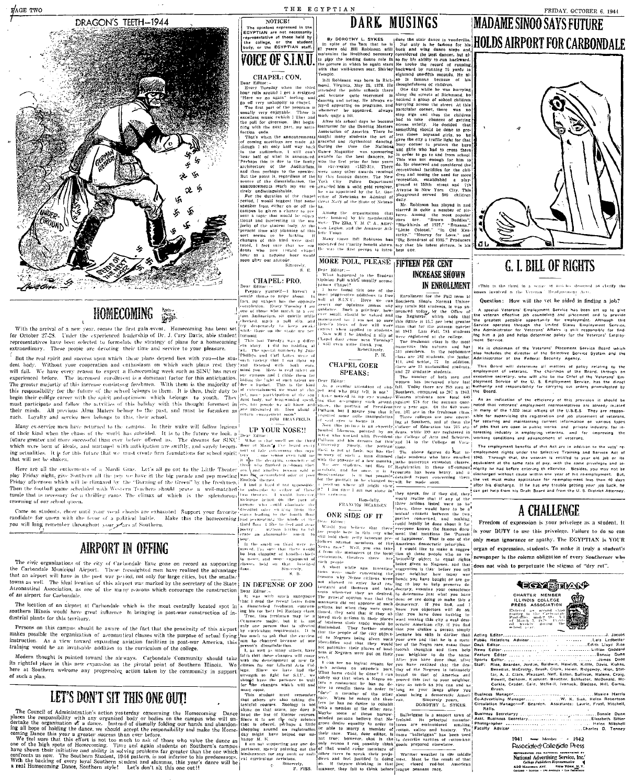

NOTICE!

# DARK MUSINGS

The opinions expressed in the<br>EGYPTIAN are not necessarily<br>representative of those held by<br>the college, or the student<br>body, or the EGYPTIAN staff.

MORE POLL, PLEASE | FIFTEEN PER CENT

**MADAME SINOO SAYS FUTURE** 

FRIDAY, OCTOBER 6, 1944



# **G. I. BILL OF RIGHTS**

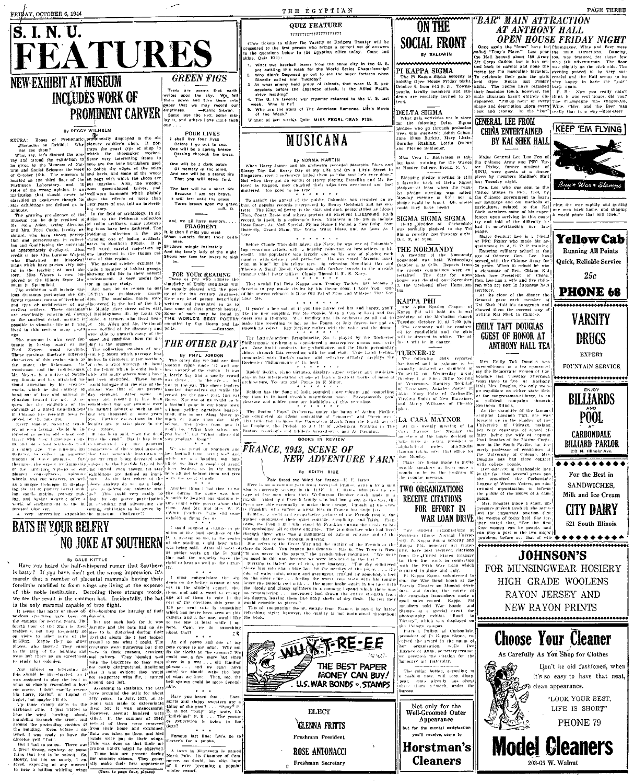FRIDAY, OCTOBER 6, 1944



**PROME CARVELE CARVELE CARVELE CARVELE COMPANY CONTINUES CONTINUES CONTINUES CONTINUES CONTINUES CONTINUES CONTINUES CONTINUES CONTINUES CONTINUES CONTINUES CONTINUES CONTINUES CONTINUES CONTINUES CONTINUES CONTINUES CONT** 

being deceased and<br>horrible fare of br  $\ldots$  ,  $\ldots$  , are provided and the space of the space of the space working<br>and in the space working subsect to the basic discussion in the space of the<br>space of the space of the space of the space of the space of the co EXERCISE AND MARKET IN THE CONTRACTORS IN THE CALL AND THE CALL AND THE CALL AND THE CALL AND THE CALL AND THE CALL AND THE CALL AND THE CALL AND THE CALL AND THE CALL AND THE CALL AND THE CALL AND THE CALL AND THE CALL A Can over the finded as imagine the control of the finded as imagine the finded as imagine the state of the state of the state of the state of the state of the state of the state of the state of the state of the state of th spinaine exhibitions<br>as well mate As

**BATS IN YOUR BELFRY** 

is batty? If you have, don't get the wrong impression. It's<br>merely that a number of placental mammals having their is usiny : 11 you have, non 1 get the wrong impression, 11.8<br>merely that a number of placental mammais having their  $\begin{bmatrix} 1 & \text{must} & \text{in} \\ \text{merely} & \text{in} \end{bmatrix}$  for the sta-<br>forelimbs modified to form wings are living at the

foreign tar a numeric on which the properties are the spental density density and a numeric variant of the spental density and a spental density of the spental of the model in the spental of the spental of the spental of

**QUIZ FEATURE** 

### ,,,,,,,,,,,,,,,,,,,,,,,

(Two tickets to either the Varsity or Rodgers Theater will be<br>presented to the Brat person who brings a correct set of answers<br>to the questions below to the Egyptian office today. Come and<br>hitne, Quiz Kid):

THE EGYPTIAN

- ie, Quiz Kid):<br>
What two baseball teams from the same city in the U.S.<br>
What two baseball teams of the World Scries Changlandship<br>
and based as out to see the suser forters when<br>
Bloods called him Tuesday?<br>
At what enery  $\overline{2}$
- $\overline{\mathbf{3}}$
- 6.
- Winner of last week's Quiz: MISS FEORL JEAN FISS

# MUSICANA

By NORMA MARTIN ( $\sim$  1997) WORMA MARTIN ( $\sim$  1997) When Harry James 21 and the original Steep Tim Gal. Every Coy of My Life and both the terr efears.<br>Steep Tim Gal. Every Doy of My Life and both the terr efears.<br>Since t

To satisfy the appeal of the public, Columbia has recorded an objective condition of appear to the public, Columbia has recorded to Rent the term of the term of the term of the star, and such personalities are Monet and t

Refore Chaude Thomaill joined the Navy, he was one of Color<br>members critics with a member of the Navy and proper continue member with deficing you all perfection. He was veted "favorite<br>manifer with deficing you perfection

That sound Phi Betu Kappa man, Tommer Tucker, has become a<br>favorite in pop music circles by his theme some, I Love You. One<br>of his newest releases to Dear Old Poi of Mine and Wilsper That You<br>Love Me,

smooth as velvet.

**Conducted** with nursus and a  $\frac{1}{n}$ .<br>Rochester Philbarmanic at its hest,<br> $\frac{n}{n}$ ,  $\frac{n}{n}$ ,  $\frac{n}{n}$ ,  $\frac{n}{n}$ ,  $\frac{n}{n}$ ,  $\frac{n}{n}$ 

his interpretation of one of Bach's greatest<br>ture, Tocata and Fugue in E Minor,

Seldom has the Song of India sounded more vibrant<br>as than in Richard Crook's magnificent voice. Exa in Richard Crook's magnificial more violate and contained and solden tower highlights of this re-ording.<br>Cand golden tone are highlights of this re-ording.



## NEW ADVENTURE YARN By EDITH RICE

We are pointed of Studiern and while the Gaular Constant transfer<br>with the sequel of the sequel of the sequel of the sequel of the sequel<br>constant of the sequel of the sequel of the sequel of the sequel of<br>planet benders

The was return in the papers. The area distortion the<br>distortion of the content in the same serves in the same serves in the<br>same serves in the last  $\sim$  were from the same state<br>in the last weak in the same state of the Now the mean has the control of the comparison of the control of the control of elastic property in the calibration of the control of the control of the control of the control of the control of the control of the control



Freshman Secretary

"BAR" MAIN ATTRACTION **ON THE SOCIAL FRONT** 

BY BALDWIN

**Consequently and the CALIFY CONTRACT CONSECT AND AN ARTICLE CONSECT THE CONSECT TO THE CONSECT THAT CONSECT THE CONSECT THAT CONSECT THE CONSECT THAT CONSECT THE CONSECT THAT CONSECT THE CONSECT THAT CONSECT THE CONSECT** PI KAPPA SIGMA The Pl Kappa Sigma sorority is<br>holding Open House Friday night.<br>October 6, from 8-12 p. m. Towns-<br>people, faculty members and sta-<br>dents are fordially invited to atpeople.<br>dents<br>tend.

## DELTA SIGMA

DELTA SIGMA<br>
What gala activities are in store<br>
What gala activities are in store<br>
lyedges who go through probation<br>
week this week-rad; Edith Gaban,<br>
Jane Elten Burkiti, Mary Little.<br>
Derothy Rushing, Lottle Owens<br>
and Pl

Skipping place meeting is still given, were gastern at a dimensional property ratio of place in the place of the state of place and left resolution the place of the state of the state of the state of the state of the stat

# 

TURNER-12

 $\begin{tabular}{l|c|c|c|c} \hline \texttt{left} & \texttt{struct} \\ \hline \texttt{right} & \texttt{right} & \texttt{Mrs} & \texttt{Emily} & \texttt{Taff} & \texttt{Douglas} & \texttt{was} \\ \hline \texttt{no} & \texttt{a} & \texttt{a} & \texttt{a} & \texttt{nonloss} & \texttt{f} & \texttt{mise-to-ionous} & \texttt{a} & \texttt{t} & \texttt{ca} & \texttt{nonosore} \\ \hline \texttt{no} & \texttt{a} & \texttt{a} & \texttt{mise-to-ionous} & \texttt{M0$ 

common activity are that office to the University of Chicago, and the Bouldary and the Poulties and the Chicago and the Chicago and the specific specifies of the control of the control of the control of the control of the cancer or Women Voters, an educational organization to inform

 $\begin{minipage}{.4\linewidth} Two-stud-ut-organizaves\\ Source-Blow-Normal-Univer-  
sity, P<sub>1</sub> King-<sub>box</sub> signa sorortity and  
the  
boundary art-frater-  
is.$ 

Sctory", which wa<br>he College campus re College compus<br>Partica Fulkini of Carbondale<br>Center College Schule College Schule<br>Are Schule College Schule College Schule<br>Present College Schule College Schule<br>Schule College College College Schule<br>College Schule Colle

The collar button, accollar to tashion note, will soon disap-<br>ear. Ours already has shout<br>ree times a veek, under the ...<br>.ureau.

Not only for the Well-Groomed Outer Appearance for the mental satisfaction --<br>you'll receive, come to

Horstman's **Cleaners** 

**GENERAL LEE FROM KEEP 'EM FLYING I CHINA ENTERTAINED** BY KAI SHEK HALL

**AT ANTHONY HALL** 

**OPEN HOUSE FRIDAY NIGHT** 

Muss Vera L. Robertson is tak- Major General Lee Lue Foo of<br>the basir training for the Waves the Chinese Array and PFC Vic-<br>at Hunter College, Broux, N. Y. tor Pixley, former student of<br> $\frac{1}{2}$  at Hunter College, Broux,

Buy \* War \* Sta eing the war rapidly and getting<br>our men back home, and shaping<br>a world peace that will stick."

**Yellow Cab** 



**EXPERT** FOUNTAIN SERVICE .....................

**Running All Points** 

.<br>Quick, Reliable Service

 $25c$ 

**PHONE 68** 

BILLIARDS P<sub>00</sub>L **CARBONDALE BILLIARD PARLOR** 

\*\*\*\*\*\*\* For the Best in SANDWICHES. Milk and Ice Cream

CITY DAIRY

521 South Illinois

ogu.<br>Mrs. Douglas made a short, im-

Mrs. Douglas made a short, impressive grave in havin's heatrest in<br>set the minimization chat is the variable words of the strip in the variable particular that the particular the passion and the people and computer comput





commons adds further laurels to the<br>er Claude Thornidill, fl. S. Navy.<br>\* \* \* \* \* \* \* \*

 $\overline{a}$  , and  $\overline{a}$  , and  $\overline{a}$ 

If you're a hep eat, or if you like music red hot and happy, you'll<br>like the new coupling, Pry Me Cookie. With a Can of Larsi and Re-<br>guest For a Rivinshin. Will Brackey and his orchestra go all out to<br>make this recording Ray McKiny makes with the voice and the

 $\label{eq:2} \begin{minipage}{0.9\textwidth} The Latin-Amerizon Systemback & & 0.9\textwidth & 0.9\textwidth & 0.9\textwidth & 0.9\textwidth & 0.9\textwidth & 0.9\textwidth & 0.9\textwidth & 0.9\textwidth & 0.9\textwidth & 0.9\textwidth & 0.9\textwidth & 0.9\textwidth & 0.9\textwidth & 0.9\textwidth & 0.9\textwidth & 0.9\textwidth & 0.9\textwidth & 0.9\textwidth & 0.9\textwidth & 0.9\textwidth & 0.9\textwidth & 0.9\textwidth & 0.9\textwidth & 0.9\text$ 

Rudolf Serkin, plano virtuoso, displays super artistiy and

The Boston "Pops" Orchestra, under the baton of Arthur Fields, associated an album consistence of "enteries" and "the-enteries" and the Caroline of Production in the formulation of the Production of the Caroline of the Ca